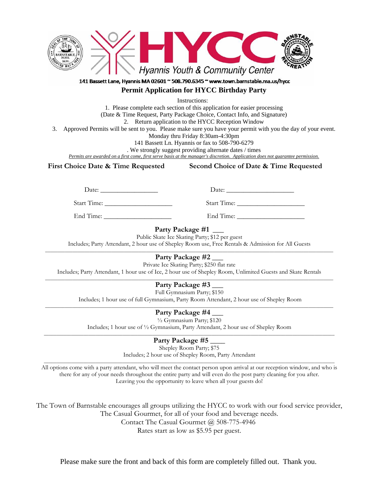

## 141 Bassett Lane, Hyannis MA 02601 ~ 508.790.6345 ~ www.town.barnstable.ma.us/hycc **Permit Application for HYCC Birthday Party**

Instructions:

1. Please complete each section of this application for easier processing (Date & Time Request, Party Package Choice, Contact Info, and Signature) 2. Return application to the HYCC Reception Window 3. Approved Permits will be sent to you. Please make sure you have your permit with you the day of your event.

Monday thru Friday 8:30am-4:30pm

141 Bassett Ln. Hyannis or fax to 508-790-6279 . We strongly suggest providing alternate dates / times

*Permits are awarded on a first come, first serve basis at the manager's discretion. Application does not guarantee permission.*

**First Choice Date & Time Requested Second Choice of Date & Time Requested** 

Date: \_\_\_\_\_\_\_\_\_\_\_\_\_\_\_\_\_ Date: \_\_\_\_\_\_\_\_\_\_\_\_\_\_\_\_\_\_\_\_

Start Time: \_\_\_\_\_\_\_\_\_\_\_\_\_\_\_\_\_\_\_\_ Start Time: \_\_\_\_\_\_\_\_\_\_\_\_\_\_\_\_\_\_\_\_

End Time: \_\_\_\_\_\_\_\_\_\_\_\_\_\_\_\_\_\_\_\_ End Time: \_\_\_\_\_\_\_\_\_\_\_\_\_\_\_\_\_\_\_\_

**Party Package #1 \_\_\_**

Public Skate Ice Skating Party; \$12 per guest

Includes; Party Attendant, 2 hour use of Shepley Room use, Free Rentals & Admission for All Guests

\_\_\_\_\_\_\_\_\_\_\_\_\_\_\_\_\_\_\_\_\_\_\_\_\_\_\_\_\_\_\_\_\_\_\_\_\_\_\_\_\_\_\_\_\_\_\_\_\_\_\_\_\_\_\_\_\_\_\_\_\_\_\_\_\_\_\_\_\_\_\_\_\_\_\_\_\_\_\_\_\_\_\_\_\_\_\_\_\_\_\_\_\_\_\_\_\_\_\_\_\_\_\_\_\_\_\_\_\_\_\_\_\_\_\_\_\_ **Party Package #2 \_\_\_**

Private Ice Skating Party; \$250 flat rate

Includes; Party Attendant, 1 hour use of Ice, 2 hour use of Shepley Room, Unlimited Guests and Skate Rentals \_\_\_\_\_\_\_\_\_\_\_\_\_\_\_\_\_\_\_\_\_\_\_\_\_\_\_\_\_\_\_\_\_\_\_\_\_\_\_\_\_\_\_\_\_\_\_\_\_\_\_\_\_\_\_\_\_\_\_\_\_\_\_\_\_\_\_\_\_\_\_\_\_\_\_\_\_\_\_\_\_\_\_\_\_\_\_\_\_\_\_\_\_\_\_\_\_\_\_\_\_\_\_\_\_\_\_\_\_\_\_\_\_\_\_\_\_

**Party Package #3 \_\_\_** 

Full Gymnasium Party; \$150

Includes; 1 hour use of full Gymnasium, Party Room Attendant, 2 hour use of Shepley Room

## Party Package #4

½ Gymnasium Party; \$120 Includes; 1 hour use of  $\frac{1}{2}$  Gymnasium, Party Attendant, 2 hour use of Shepley Room

Party Package #5

Shepley Room Party; \$75

Includes; 2 hour use of Shepley Room, Party Attendant

All options come with a party attendant, who will meet the contact person upon arrival at our reception window, and who is there for any of your needs throughout the entire party and will even do the post party cleaning for you after. Leaving you the opportunity to leave when all your guests do!

The Town of Barnstable encourages all groups utilizing the HYCC to work with our food service provider, The Casual Gourmet, for all of your food and beverage needs.

Contact The Casual Gourmet @ 508-775-4946

Rates start as low as \$5.95 per guest.

Please make sure the front and back of this form are completely filled out. Thank you.